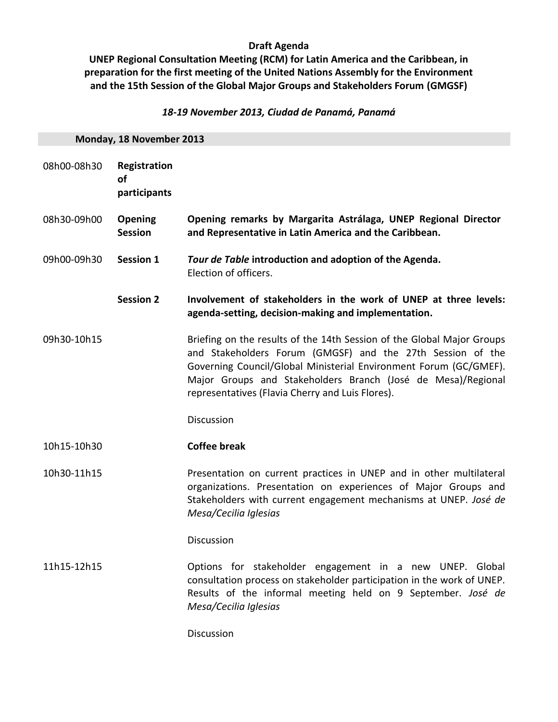# **Draft Agenda**

**UNEP Regional Consultation Meeting (RCM) for Latin America and the Caribbean, in preparation for the first meeting of the United Nations Assembly for the Environment and the 15th Session of the Global Major Groups and Stakeholders Forum (GMGSF)**

## *18-19 November 2013, Ciudad de Panamá, Panamá*

| Monday, 18 November 2013 |                                           |                                                                                                                                                                                                                                                                                                                               |
|--------------------------|-------------------------------------------|-------------------------------------------------------------------------------------------------------------------------------------------------------------------------------------------------------------------------------------------------------------------------------------------------------------------------------|
| 08h00-08h30              | Registration<br><b>of</b><br>participants |                                                                                                                                                                                                                                                                                                                               |
| 08h30-09h00              | <b>Opening</b><br><b>Session</b>          | Opening remarks by Margarita Astrálaga, UNEP Regional Director<br>and Representative in Latin America and the Caribbean.                                                                                                                                                                                                      |
| 09h00-09h30              | <b>Session 1</b>                          | Tour de Table introduction and adoption of the Agenda.<br>Election of officers.                                                                                                                                                                                                                                               |
|                          | <b>Session 2</b>                          | Involvement of stakeholders in the work of UNEP at three levels:<br>agenda-setting, decision-making and implementation.                                                                                                                                                                                                       |
| 09h30-10h15              |                                           | Briefing on the results of the 14th Session of the Global Major Groups<br>and Stakeholders Forum (GMGSF) and the 27th Session of the<br>Governing Council/Global Ministerial Environment Forum (GC/GMEF).<br>Major Groups and Stakeholders Branch (José de Mesa)/Regional<br>representatives (Flavia Cherry and Luis Flores). |
|                          |                                           | Discussion                                                                                                                                                                                                                                                                                                                    |
| 10h15-10h30              |                                           | <b>Coffee break</b>                                                                                                                                                                                                                                                                                                           |
| 10h30-11h15              |                                           | Presentation on current practices in UNEP and in other multilateral<br>organizations. Presentation on experiences of Major Groups and<br>Stakeholders with current engagement mechanisms at UNEP. José de<br>Mesa/Cecilia Iglesias                                                                                            |
|                          |                                           | <b>Discussion</b>                                                                                                                                                                                                                                                                                                             |
| 11h15-12h15              |                                           | Options for stakeholder engagement in a new UNEP. Global<br>consultation process on stakeholder participation in the work of UNEP.<br>Results of the informal meeting held on 9 September. José de<br>Mesa/Cecilia Iglesias                                                                                                   |
|                          |                                           | Discussion                                                                                                                                                                                                                                                                                                                    |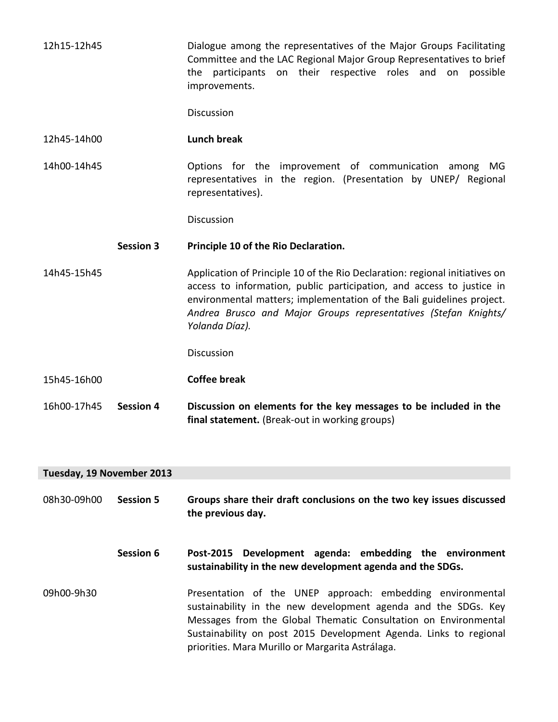12h15-12h45 Dialogue among the representatives of the Major Groups Facilitating Committee and the LAC Regional Major Group Representatives to brief the participants on their respective roles and on possible improvements.

**Discussion** 

#### 12h45-14h00 **Lunch break**

14h00-14h45 Options for the improvement of communication among MG representatives in the region. (Presentation by UNEP/ Regional representatives).

**Discussion** 

#### **Session 3 Principle 10 of the Rio Declaration.**

14h45-15h45 Application of Principle 10 of the Rio Declaration: regional initiatives on access to information, public participation, and access to justice in environmental matters; implementation of the Bali guidelines project. *Andrea Brusco and Major Groups representatives (Stefan Knights/ Yolanda Díaz).*

Discussion

- 15h45-16h00 **Coffee break**
- 16h00-17h45 **Session 4 Discussion on elements for the key messages to be included in the final statement.** (Break-out in working groups)

### **Tuesday, 19 November 2013**

- 08h30-09h00 **Session 5 Groups share their draft conclusions on the two key issues discussed the previous day.**
	- **Session 6 Post-2015 Development agenda: embedding the environment sustainability in the new development agenda and the SDGs.**
- 09h00-9h30 Presentation of the UNEP approach: embedding environmental sustainability in the new development agenda and the SDGs. Key Messages from the Global Thematic Consultation on Environmental Sustainability on post 2015 Development Agenda. Links to regional priorities. Mara Murillo or Margarita Astrálaga.